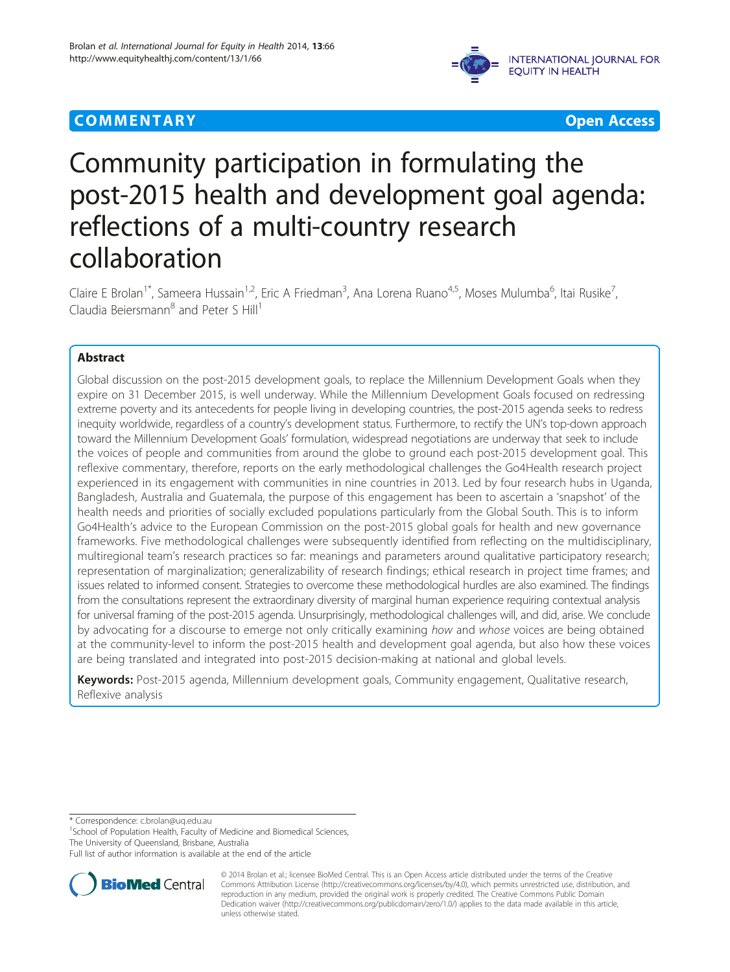## **COMMENTARY COMMENTARY Open Access**



# Community participation in formulating the post-2015 health and development goal agenda: reflections of a multi-country research collaboration

Claire E Brolan<sup>1\*</sup>, Sameera Hussain<sup>1,2</sup>, Eric A Friedman<sup>3</sup>, Ana Lorena Ruano<sup>4,5</sup>, Moses Mulumba<sup>6</sup>, Itai Rusike<sup>7</sup> , Claudia Beiersmann $^8$  and Peter S Hill<sup>1</sup>

## Abstract

Global discussion on the post-2015 development goals, to replace the Millennium Development Goals when they expire on 31 December 2015, is well underway. While the Millennium Development Goals focused on redressing extreme poverty and its antecedents for people living in developing countries, the post-2015 agenda seeks to redress inequity worldwide, regardless of a country's development status. Furthermore, to rectify the UN's top-down approach toward the Millennium Development Goals' formulation, widespread negotiations are underway that seek to include the voices of people and communities from around the globe to ground each post-2015 development goal. This reflexive commentary, therefore, reports on the early methodological challenges the Go4Health research project experienced in its engagement with communities in nine countries in 2013. Led by four research hubs in Uganda, Bangladesh, Australia and Guatemala, the purpose of this engagement has been to ascertain a 'snapshot' of the health needs and priorities of socially excluded populations particularly from the Global South. This is to inform Go4Health's advice to the European Commission on the post-2015 global goals for health and new governance frameworks. Five methodological challenges were subsequently identified from reflecting on the multidisciplinary, multiregional team's research practices so far: meanings and parameters around qualitative participatory research; representation of marginalization; generalizability of research findings; ethical research in project time frames; and issues related to informed consent. Strategies to overcome these methodological hurdles are also examined. The findings from the consultations represent the extraordinary diversity of marginal human experience requiring contextual analysis for universal framing of the post-2015 agenda. Unsurprisingly, methodological challenges will, and did, arise. We conclude by advocating for a discourse to emerge not only critically examining how and whose voices are being obtained at the community-level to inform the post-2015 health and development goal agenda, but also how these voices are being translated and integrated into post-2015 decision-making at national and global levels.

Keywords: Post-2015 agenda, Millennium development goals, Community engagement, Qualitative research, Reflexive analysis

\* Correspondence: [c.brolan@uq.edu.au](mailto:c.brolan@uq.edu.au) <sup>1</sup>

<sup>1</sup>School of Population Health, Faculty of Medicine and Biomedical Sciences, The University of Queensland, Brisbane, Australia

Full list of author information is available at the end of the article



<sup>© 2014</sup> Brolan et al.; licensee BioMed Central. This is an Open Access article distributed under the terms of the Creative Commons Attribution License [\(http://creativecommons.org/licenses/by/4.0\)](http://creativecommons.org/licenses/by/4.0), which permits unrestricted use, distribution, and reproduction in any medium, provided the original work is properly credited. The Creative Commons Public Domain Dedication waiver [\(http://creativecommons.org/publicdomain/zero/1.0/](http://creativecommons.org/publicdomain/zero/1.0/)) applies to the data made available in this article, unless otherwise stated.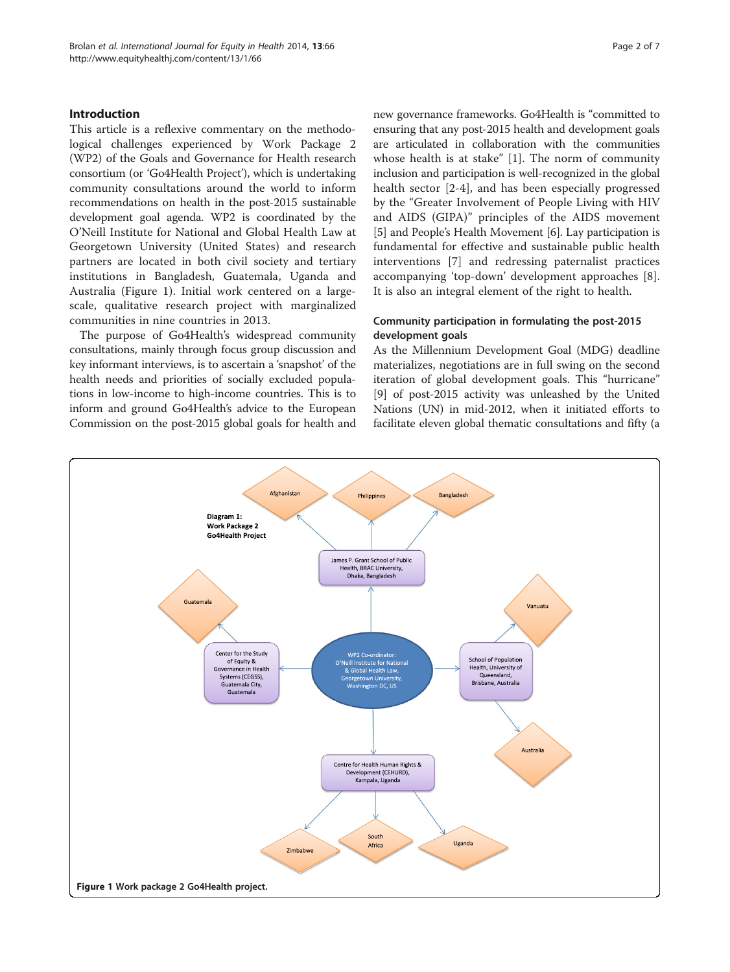## Introduction

This article is a reflexive commentary on the methodological challenges experienced by Work Package 2 (WP2) of the Goals and Governance for Health research consortium (or 'Go4Health Project'), which is undertaking community consultations around the world to inform recommendations on health in the post-2015 sustainable development goal agenda. WP2 is coordinated by the O'Neill Institute for National and Global Health Law at Georgetown University (United States) and research partners are located in both civil society and tertiary institutions in Bangladesh, Guatemala, Uganda and Australia (Figure 1). Initial work centered on a largescale, qualitative research project with marginalized communities in nine countries in 2013.

The purpose of Go4Health's widespread community consultations, mainly through focus group discussion and key informant interviews, is to ascertain a 'snapshot' of the health needs and priorities of socially excluded populations in low-income to high-income countries. This is to inform and ground Go4Health's advice to the European Commission on the post-2015 global goals for health and

new governance frameworks. Go4Health is "committed to ensuring that any post-2015 health and development goals are articulated in collaboration with the communities whose health is at stake" [[1\]](#page-5-0). The norm of community inclusion and participation is well-recognized in the global health sector [[2-4](#page-5-0)], and has been especially progressed by the "Greater Involvement of People Living with HIV and AIDS (GIPA)" principles of the AIDS movement [[5\]](#page-5-0) and People's Health Movement [\[6](#page-5-0)]. Lay participation is fundamental for effective and sustainable public health interventions [[7\]](#page-5-0) and redressing paternalist practices accompanying 'top-down' development approaches [\[8](#page-5-0)]. It is also an integral element of the right to health.

## Community participation in formulating the post-2015 development goals

As the Millennium Development Goal (MDG) deadline materializes, negotiations are in full swing on the second iteration of global development goals. This "hurricane" [[9\]](#page-5-0) of post-2015 activity was unleashed by the United Nations (UN) in mid-2012, when it initiated efforts to facilitate eleven global thematic consultations and fifty (a

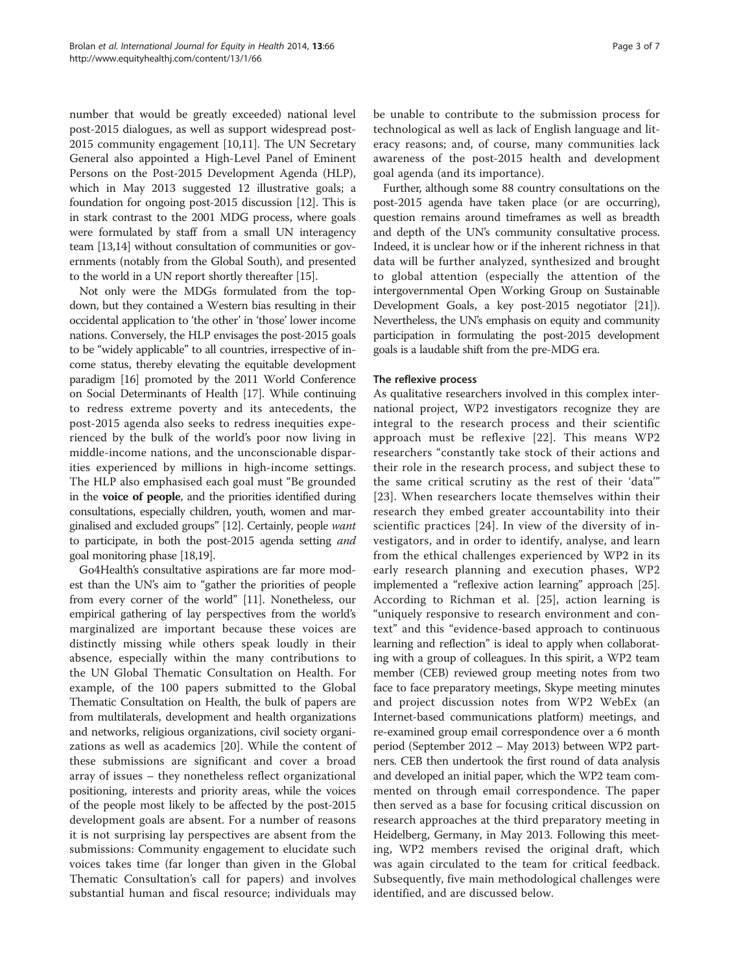number that would be greatly exceeded) national level post-2015 dialogues, as well as support widespread post-2015 community engagement [\[10,11\]](#page-5-0). The UN Secretary General also appointed a High-Level Panel of Eminent Persons on the Post-2015 Development Agenda (HLP), which in May 2013 suggested 12 illustrative goals; a foundation for ongoing post-2015 discussion [\[12\]](#page-5-0). This is in stark contrast to the 2001 MDG process, where goals were formulated by staff from a small UN interagency team [\[13,14\]](#page-5-0) without consultation of communities or governments (notably from the Global South), and presented to the world in a UN report shortly thereafter [[15](#page-5-0)].

Not only were the MDGs formulated from the topdown, but they contained a Western bias resulting in their occidental application to 'the other' in 'those' lower income nations. Conversely, the HLP envisages the post-2015 goals to be "widely applicable" to all countries, irrespective of income status, thereby elevating the equitable development paradigm [\[16\]](#page-5-0) promoted by the 2011 World Conference on Social Determinants of Health [\[17\]](#page-6-0). While continuing to redress extreme poverty and its antecedents, the post-2015 agenda also seeks to redress inequities experienced by the bulk of the world's poor now living in middle-income nations, and the unconscionable disparities experienced by millions in high-income settings. The HLP also emphasised each goal must "Be grounded in the voice of people, and the priorities identified during consultations, especially children, youth, women and marginalised and excluded groups" [\[12\]](#page-5-0). Certainly, people want to participate, in both the post-2015 agenda setting and goal monitoring phase [\[18,19\]](#page-6-0).

Go4Health's consultative aspirations are far more modest than the UN's aim to "gather the priorities of people from every corner of the world" [\[11\]](#page-5-0). Nonetheless, our empirical gathering of lay perspectives from the world's marginalized are important because these voices are distinctly missing while others speak loudly in their absence, especially within the many contributions to the UN Global Thematic Consultation on Health. For example, of the 100 papers submitted to the Global Thematic Consultation on Health, the bulk of papers are from multilaterals, development and health organizations and networks, religious organizations, civil society organizations as well as academics [[20\]](#page-6-0). While the content of these submissions are significant and cover a broad array of issues – they nonetheless reflect organizational positioning, interests and priority areas, while the voices of the people most likely to be affected by the post-2015 development goals are absent. For a number of reasons it is not surprising lay perspectives are absent from the submissions: Community engagement to elucidate such voices takes time (far longer than given in the Global Thematic Consultation's call for papers) and involves substantial human and fiscal resource; individuals may be unable to contribute to the submission process for technological as well as lack of English language and literacy reasons; and, of course, many communities lack awareness of the post-2015 health and development goal agenda (and its importance).

Further, although some 88 country consultations on the post-2015 agenda have taken place (or are occurring), question remains around timeframes as well as breadth and depth of the UN's community consultative process. Indeed, it is unclear how or if the inherent richness in that data will be further analyzed, synthesized and brought to global attention (especially the attention of the intergovernmental Open Working Group on Sustainable Development Goals, a key post-2015 negotiator [[21](#page-6-0)]). Nevertheless, the UN's emphasis on equity and community participation in formulating the post-2015 development goals is a laudable shift from the pre-MDG era.

## The reflexive process

As qualitative researchers involved in this complex international project, WP2 investigators recognize they are integral to the research process and their scientific approach must be reflexive [[22](#page-6-0)]. This means WP2 researchers "constantly take stock of their actions and their role in the research process, and subject these to the same critical scrutiny as the rest of their 'data'" [[23](#page-6-0)]. When researchers locate themselves within their research they embed greater accountability into their scientific practices [[24](#page-6-0)]. In view of the diversity of investigators, and in order to identify, analyse, and learn from the ethical challenges experienced by WP2 in its early research planning and execution phases, WP2 implemented a "reflexive action learning" approach [[25](#page-6-0)]. According to Richman et al. [[25\]](#page-6-0), action learning is "uniquely responsive to research environment and context" and this "evidence-based approach to continuous learning and reflection" is ideal to apply when collaborating with a group of colleagues. In this spirit, a WP2 team member (CEB) reviewed group meeting notes from two face to face preparatory meetings, Skype meeting minutes and project discussion notes from WP2 WebEx (an Internet-based communications platform) meetings, and re-examined group email correspondence over a 6 month period (September 2012 – May 2013) between WP2 partners. CEB then undertook the first round of data analysis and developed an initial paper, which the WP2 team commented on through email correspondence. The paper then served as a base for focusing critical discussion on research approaches at the third preparatory meeting in Heidelberg, Germany, in May 2013. Following this meeting, WP2 members revised the original draft, which was again circulated to the team for critical feedback. Subsequently, five main methodological challenges were identified, and are discussed below.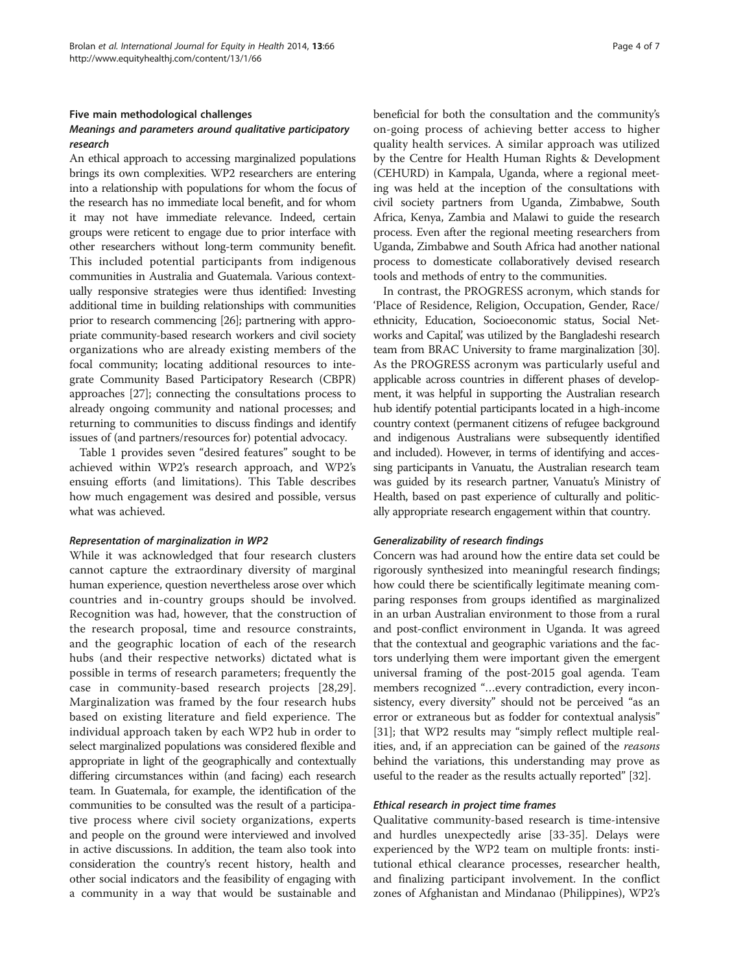## Five main methodological challenges

## Meanings and parameters around qualitative participatory research

An ethical approach to accessing marginalized populations brings its own complexities. WP2 researchers are entering into a relationship with populations for whom the focus of the research has no immediate local benefit, and for whom it may not have immediate relevance. Indeed, certain groups were reticent to engage due to prior interface with other researchers without long-term community benefit. This included potential participants from indigenous communities in Australia and Guatemala. Various contextually responsive strategies were thus identified: Investing additional time in building relationships with communities prior to research commencing [[26](#page-6-0)]; partnering with appropriate community-based research workers and civil society organizations who are already existing members of the focal community; locating additional resources to integrate Community Based Participatory Research (CBPR) approaches [[27](#page-6-0)]; connecting the consultations process to already ongoing community and national processes; and returning to communities to discuss findings and identify issues of (and partners/resources for) potential advocacy.

Table [1](#page-4-0) provides seven "desired features" sought to be achieved within WP2's research approach, and WP2's ensuing efforts (and limitations). This Table describes how much engagement was desired and possible, versus what was achieved.

## Representation of marginalization in WP2

While it was acknowledged that four research clusters cannot capture the extraordinary diversity of marginal human experience, question nevertheless arose over which countries and in-country groups should be involved. Recognition was had, however, that the construction of the research proposal, time and resource constraints, and the geographic location of each of the research hubs (and their respective networks) dictated what is possible in terms of research parameters; frequently the case in community-based research projects [[28,29](#page-6-0)]. Marginalization was framed by the four research hubs based on existing literature and field experience. The individual approach taken by each WP2 hub in order to select marginalized populations was considered flexible and appropriate in light of the geographically and contextually differing circumstances within (and facing) each research team. In Guatemala, for example, the identification of the communities to be consulted was the result of a participative process where civil society organizations, experts and people on the ground were interviewed and involved in active discussions. In addition, the team also took into consideration the country's recent history, health and other social indicators and the feasibility of engaging with a community in a way that would be sustainable and

beneficial for both the consultation and the community's on-going process of achieving better access to higher quality health services. A similar approach was utilized by the Centre for Health Human Rights & Development (CEHURD) in Kampala, Uganda, where a regional meeting was held at the inception of the consultations with civil society partners from Uganda, Zimbabwe, South Africa, Kenya, Zambia and Malawi to guide the research process. Even after the regional meeting researchers from Uganda, Zimbabwe and South Africa had another national process to domesticate collaboratively devised research tools and methods of entry to the communities.

In contrast, the PROGRESS acronym, which stands for 'Place of Residence, Religion, Occupation, Gender, Race/ ethnicity, Education, Socioeconomic status, Social Networks and Capital, was utilized by the Bangladeshi research team from BRAC University to frame marginalization [\[30](#page-6-0)]. As the PROGRESS acronym was particularly useful and applicable across countries in different phases of development, it was helpful in supporting the Australian research hub identify potential participants located in a high-income country context (permanent citizens of refugee background and indigenous Australians were subsequently identified and included). However, in terms of identifying and accessing participants in Vanuatu, the Australian research team was guided by its research partner, Vanuatu's Ministry of Health, based on past experience of culturally and politically appropriate research engagement within that country.

## Generalizability of research findings

Concern was had around how the entire data set could be rigorously synthesized into meaningful research findings; how could there be scientifically legitimate meaning comparing responses from groups identified as marginalized in an urban Australian environment to those from a rural and post-conflict environment in Uganda. It was agreed that the contextual and geographic variations and the factors underlying them were important given the emergent universal framing of the post-2015 goal agenda. Team members recognized "…every contradiction, every inconsistency, every diversity" should not be perceived "as an error or extraneous but as fodder for contextual analysis" [[31](#page-6-0)]; that WP2 results may "simply reflect multiple realities, and, if an appreciation can be gained of the reasons behind the variations, this understanding may prove as useful to the reader as the results actually reported" [\[32\]](#page-6-0).

## Ethical research in project time frames

Qualitative community-based research is time-intensive and hurdles unexpectedly arise [\[33](#page-6-0)-[35\]](#page-6-0). Delays were experienced by the WP2 team on multiple fronts: institutional ethical clearance processes, researcher health, and finalizing participant involvement. In the conflict zones of Afghanistan and Mindanao (Philippines), WP2's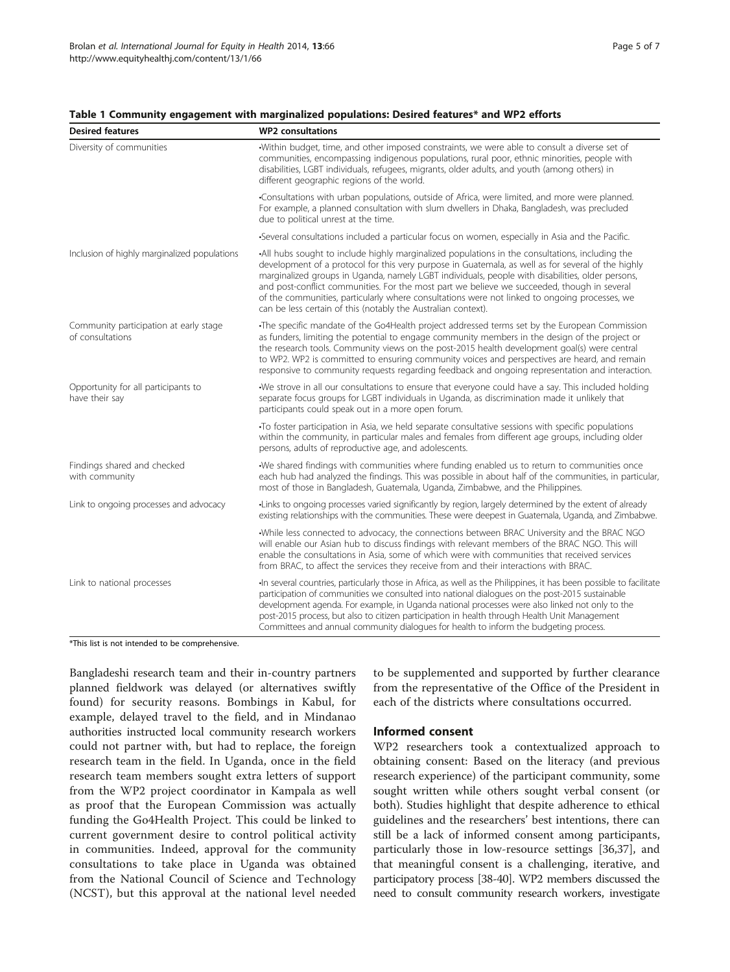| <b>Desired features</b>                                    | <b>WP2</b> consultations                                                                                                                                                                                                                                                                                                                                                                                                                                                                                                                                                   |
|------------------------------------------------------------|----------------------------------------------------------------------------------------------------------------------------------------------------------------------------------------------------------------------------------------------------------------------------------------------------------------------------------------------------------------------------------------------------------------------------------------------------------------------------------------------------------------------------------------------------------------------------|
| Diversity of communities                                   | Within budget, time, and other imposed constraints, we were able to consult a diverse set of<br>communities, encompassing indigenous populations, rural poor, ethnic minorities, people with<br>disabilities, LGBT individuals, refugees, migrants, older adults, and youth (among others) in<br>different geographic regions of the world.                                                                                                                                                                                                                                |
|                                                            | -Consultations with urban populations, outside of Africa, were limited, and more were planned.<br>For example, a planned consultation with slum dwellers in Dhaka, Bangladesh, was precluded<br>due to political unrest at the time.                                                                                                                                                                                                                                                                                                                                       |
|                                                            | -Several consultations included a particular focus on women, especially in Asia and the Pacific.                                                                                                                                                                                                                                                                                                                                                                                                                                                                           |
| Inclusion of highly marginalized populations               | -All hubs sought to include highly marginalized populations in the consultations, including the<br>development of a protocol for this very purpose in Guatemala, as well as for several of the highly<br>marginalized groups in Uganda, namely LGBT individuals, people with disabilities, older persons,<br>and post-conflict communities. For the most part we believe we succeeded, though in several<br>of the communities, particularly where consultations were not linked to ongoing processes, we<br>can be less certain of this (notably the Australian context). |
| Community participation at early stage<br>of consultations | •The specific mandate of the Go4Health project addressed terms set by the European Commission<br>as funders, limiting the potential to engage community members in the design of the project or<br>the research tools. Community views on the post-2015 health development goal(s) were central<br>to WP2. WP2 is committed to ensuring community voices and perspectives are heard, and remain<br>responsive to community requests regarding feedback and ongoing representation and interaction.                                                                         |
| Opportunity for all participants to<br>have their say      | We strove in all our consultations to ensure that everyone could have a say. This included holding<br>separate focus groups for LGBT individuals in Uganda, as discrimination made it unlikely that<br>participants could speak out in a more open forum.                                                                                                                                                                                                                                                                                                                  |
|                                                            | •To foster participation in Asia, we held separate consultative sessions with specific populations<br>within the community, in particular males and females from different age groups, including older<br>persons, adults of reproductive age, and adolescents.                                                                                                                                                                                                                                                                                                            |
| Findings shared and checked<br>with community              | We shared findings with communities where funding enabled us to return to communities once<br>each hub had analyzed the findings. This was possible in about half of the communities, in particular,<br>most of those in Bangladesh, Guatemala, Uganda, Zimbabwe, and the Philippines.                                                                                                                                                                                                                                                                                     |
| Link to ongoing processes and advocacy                     | •Links to ongoing processes varied significantly by region, largely determined by the extent of already<br>existing relationships with the communities. These were deepest in Guatemala, Uganda, and Zimbabwe.                                                                                                                                                                                                                                                                                                                                                             |
|                                                            | -While less connected to advocacy, the connections between BRAC University and the BRAC NGO<br>will enable our Asian hub to discuss findings with relevant members of the BRAC NGO. This will<br>enable the consultations in Asia, some of which were with communities that received services<br>from BRAC, to affect the services they receive from and their interactions with BRAC.                                                                                                                                                                                     |
| Link to national processes                                 | In several countries, particularly those in Africa, as well as the Philippines, it has been possible to facilitate<br>participation of communities we consulted into national dialogues on the post-2015 sustainable<br>development agenda. For example, in Uganda national processes were also linked not only to the                                                                                                                                                                                                                                                     |

## <span id="page-4-0"></span>Table 1 Community engagement with marginalized populations: Desired features\* and WP2 efforts

\*This list is not intended to be comprehensive.

Bangladeshi research team and their in-country partners planned fieldwork was delayed (or alternatives swiftly found) for security reasons. Bombings in Kabul, for example, delayed travel to the field, and in Mindanao authorities instructed local community research workers could not partner with, but had to replace, the foreign research team in the field. In Uganda, once in the field research team members sought extra letters of support from the WP2 project coordinator in Kampala as well as proof that the European Commission was actually funding the Go4Health Project. This could be linked to current government desire to control political activity in communities. Indeed, approval for the community consultations to take place in Uganda was obtained from the National Council of Science and Technology (NCST), but this approval at the national level needed

to be supplemented and supported by further clearance from the representative of the Office of the President in each of the districts where consultations occurred.

## Informed consent

post-2015 process, but also to citizen participation in health through Health Unit Management Committees and annual community dialogues for health to inform the budgeting process.

> WP2 researchers took a contextualized approach to obtaining consent: Based on the literacy (and previous research experience) of the participant community, some sought written while others sought verbal consent (or both). Studies highlight that despite adherence to ethical guidelines and the researchers' best intentions, there can still be a lack of informed consent among participants, particularly those in low-resource settings [[36,37](#page-6-0)], and that meaningful consent is a challenging, iterative, and participatory process [[38](#page-6-0)-[40](#page-6-0)]. WP2 members discussed the need to consult community research workers, investigate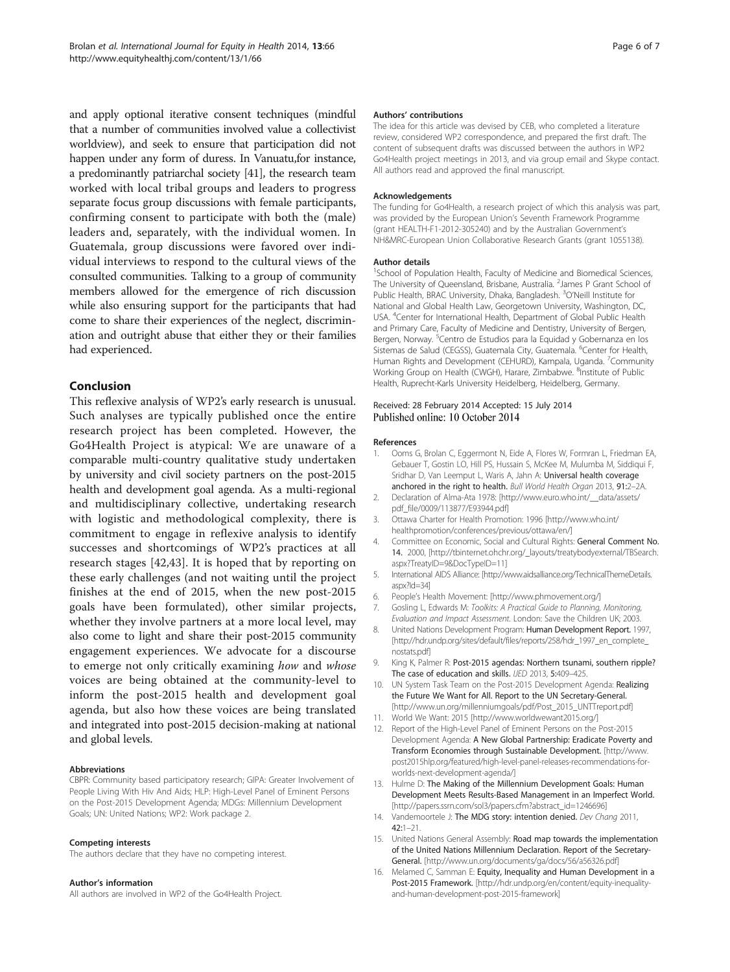<span id="page-5-0"></span>and apply optional iterative consent techniques (mindful that a number of communities involved value a collectivist worldview), and seek to ensure that participation did not happen under any form of duress. In Vanuatu,for instance, a predominantly patriarchal society [\[41\]](#page-6-0), the research team worked with local tribal groups and leaders to progress separate focus group discussions with female participants, confirming consent to participate with both the (male) leaders and, separately, with the individual women. In Guatemala, group discussions were favored over individual interviews to respond to the cultural views of the consulted communities. Talking to a group of community members allowed for the emergence of rich discussion while also ensuring support for the participants that had come to share their experiences of the neglect, discrimination and outright abuse that either they or their families had experienced.

## Conclusion

This reflexive analysis of WP2's early research is unusual. Such analyses are typically published once the entire research project has been completed. However, the Go4Health Project is atypical: We are unaware of a comparable multi-country qualitative study undertaken by university and civil society partners on the post-2015 health and development goal agenda. As a multi-regional and multidisciplinary collective, undertaking research with logistic and methodological complexity, there is commitment to engage in reflexive analysis to identify successes and shortcomings of WP2's practices at all research stages [[42,43](#page-6-0)]. It is hoped that by reporting on these early challenges (and not waiting until the project finishes at the end of 2015, when the new post-2015 goals have been formulated), other similar projects, whether they involve partners at a more local level, may also come to light and share their post-2015 community engagement experiences. We advocate for a discourse to emerge not only critically examining how and whose voices are being obtained at the community-level to inform the post-2015 health and development goal agenda, but also how these voices are being translated and integrated into post-2015 decision-making at national and global levels.

## Abbreviations

CBPR: Community based participatory research; GIPA: Greater Involvement of People Living With Hiv And Aids; HLP: High-Level Panel of Eminent Persons on the Post-2015 Development Agenda; MDGs: Millennium Development Goals; UN: United Nations; WP2: Work package 2.

## Competing interests

The authors declare that they have no competing interest.

#### Author's information

All authors are involved in WP2 of the Go4Health Project.

#### Authors' contributions

The idea for this article was devised by CEB, who completed a literature review, considered WP2 correspondence, and prepared the first draft. The content of subsequent drafts was discussed between the authors in WP2 Go4Health project meetings in 2013, and via group email and Skype contact. All authors read and approved the final manuscript.

#### Acknowledgements

The funding for Go4Health, a research project of which this analysis was part, was provided by the European Union's Seventh Framework Programme (grant HEALTH-F1-2012-305240) and by the Australian Government's NH&MRC-European Union Collaborative Research Grants (grant 1055138).

#### Author details

<sup>1</sup>School of Population Health, Faculty of Medicine and Biomedical Sciences The University of Queensland, Brisbane, Australia. <sup>2</sup> James P Grant School of Public Health, BRAC University, Dhaka, Bangladesh. <sup>3</sup>O'Neill Institute for National and Global Health Law, Georgetown University, Washington, DC, USA. <sup>4</sup>Center for International Health, Department of Global Public Health and Primary Care, Faculty of Medicine and Dentistry, University of Bergen, Bergen, Norway. <sup>5</sup>Centro de Estudios para la Equidad y Gobernanza en los Sistemas de Salud (CEGSS), Guatemala City, Guatemala. <sup>6</sup>Center for Health, Human Rights and Development (CEHURD), Kampala, Uganda. <sup>7</sup>Community Working Group on Health (CWGH), Harare, Zimbabwe. <sup>8</sup>Institute of Public Health, Ruprecht-Karls University Heidelberg, Heidelberg, Germany.

## Received: 28 February 2014 Accepted: 15 July 2014 Published online: 10 October 2014

#### References

- 1. Ooms G, Brolan C, Eggermont N, Eide A, Flores W, Formran L, Friedman EA, Gebauer T, Gostin LO, Hill PS, Hussain S, McKee M, Mulumba M, Siddiqui F, Sridhar D, Van Leemput L, Waris A, Jahn A: Universal health coverage anchored in the right to health. Bull World Health Organ 2013, 91:2–2A.
- 2. Declaration of Alma-Ata 1978: [\[http://www.euro.who.int/\\_\\_data/assets/](http://www.euro.who.int/__data/assets/pdf_file/0009/113877/E93944.pdf) [pdf\\_file/0009/113877/E93944.pdf\]](http://www.euro.who.int/__data/assets/pdf_file/0009/113877/E93944.pdf)
- 3. Ottawa Charter for Health Promotion: 1996 [[http://www.who.int/](http://www.who.int/healthpromotion/conferences/previous/ottawa/en/) [healthpromotion/conferences/previous/ottawa/en/\]](http://www.who.int/healthpromotion/conferences/previous/ottawa/en/)
- 4. Committee on Economic, Social and Cultural Rights: General Comment No. 14. 2000, [\[http://tbinternet.ohchr.org/\\_layouts/treatybodyexternal/TBSearch.](http://tbinternet.ohchr.org/_layouts/treatybodyexternal/TBSearch.aspx?TreatyID=9&DocTypeID=11) [aspx?TreatyID=9&DocTypeID=11](http://tbinternet.ohchr.org/_layouts/treatybodyexternal/TBSearch.aspx?TreatyID=9&DocTypeID=11)]
- 5. International AIDS Alliance: [[http://www.aidsalliance.org/TechnicalThemeDetails.](http://www.aidsalliance.org/TechnicalThemeDetails.aspx?Id=34) [aspx?Id=34\]](http://www.aidsalliance.org/TechnicalThemeDetails.aspx?Id=34)
- 6. People's Health Movement: [[http://www.phmovement.org/\]](http://www.phmovement.org/)
- 7. Gosling L, Edwards M: Toolkits: A Practical Guide to Planning, Monitoring, Evaluation and Impact Assessment. London: Save the Children UK; 2003.
- 8. United Nations Development Program: Human Development Report. 1997, [[http://hdr.undp.org/sites/default/files/reports/258/hdr\\_1997\\_en\\_complete\\_](http://hdr.undp.org/sites/default/files/reports/258/hdr_1997_en_complete_nostats.pdf) [nostats.pdf\]](http://hdr.undp.org/sites/default/files/reports/258/hdr_1997_en_complete_nostats.pdf)
- 9. King K, Palmer R: Post-2015 agendas: Northern tsunami, southern ripple? The case of education and skills. IJED 2013, 5:409-425.
- 10. UN System Task Team on the Post-2015 Development Agenda: Realizing the Future We Want for All. Report to the UN Secretary-General. [[http://www.un.org/millenniumgoals/pdf/Post\\_2015\\_UNTTreport.pdf\]](http://www.un.org/millenniumgoals/pdf/Post_2015_UNTTreport.pdf)
- 11. World We Want: 2015 [\[http://www.worldwewant2015.org/\]](http://www.worldwewant2015.org/)
- 12. Report of the High-Level Panel of Eminent Persons on the Post-2015 Development Agenda: A New Global Partnership: Eradicate Poverty and Transform Economies through Sustainable Development. [[http://www.](http://www.post2015hlp.org/featured/high-level-panel-releases-recommendations-for-worlds-next-development-agenda/) [post2015hlp.org/featured/high-level-panel-releases-recommendations-for](http://www.post2015hlp.org/featured/high-level-panel-releases-recommendations-for-worlds-next-development-agenda/)[worlds-next-development-agenda/](http://www.post2015hlp.org/featured/high-level-panel-releases-recommendations-for-worlds-next-development-agenda/)]
- 13. Hulme D: The Making of the Millennium Development Goals: Human Development Meets Results-Based Management in an Imperfect World. [[http://papers.ssrn.com/sol3/papers.cfm?abstract\\_id=1246696\]](http://papers.ssrn.com/sol3/papers.cfm?abstract_id=1246696)
- 14. Vandemoortele J: The MDG story: intention denied. Dev Chang 2011, 42:1–21.
- 15. United Nations General Assembly: Road map towards the implementation of the United Nations Millennium Declaration. Report of the Secretary-General. [\[http://www.un.org/documents/ga/docs/56/a56326.pdf\]](http://www.un.org/documents/ga/docs/56/a56326.pdf)
- 16. Melamed C, Samman E: Equity, Inequality and Human Development in a Post-2015 Framework. [\[http://hdr.undp.org/en/content/equity-inequality](http://hdr.undp.org/en/content/equity-inequality-and-human-development-post-2015-framework)[and-human-development-post-2015-framework\]](http://hdr.undp.org/en/content/equity-inequality-and-human-development-post-2015-framework)